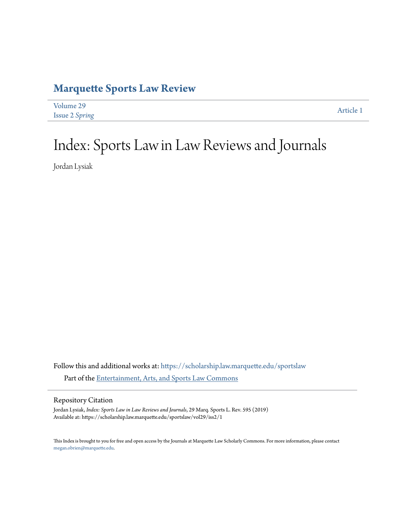## **[Marquette Sports Law Review](https://scholarship.law.marquette.edu/sportslaw?utm_source=scholarship.law.marquette.edu%2Fsportslaw%2Fvol29%2Fiss2%2F1&utm_medium=PDF&utm_campaign=PDFCoverPages)**

| Volume 29             | Article 1 |
|-----------------------|-----------|
| <b>Issue 2 Spring</b> |           |

# Index: Sports Law in Law Reviews and Journals

Jordan Lysiak

Follow this and additional works at: [https://scholarship.law.marquette.edu/sportslaw](https://scholarship.law.marquette.edu/sportslaw?utm_source=scholarship.law.marquette.edu%2Fsportslaw%2Fvol29%2Fiss2%2F1&utm_medium=PDF&utm_campaign=PDFCoverPages) Part of the [Entertainment, Arts, and Sports Law Commons](http://network.bepress.com/hgg/discipline/893?utm_source=scholarship.law.marquette.edu%2Fsportslaw%2Fvol29%2Fiss2%2F1&utm_medium=PDF&utm_campaign=PDFCoverPages)

Repository Citation

Jordan Lysiak, *Index: Sports Law in Law Reviews and Journals*, 29 Marq. Sports L. Rev. 595 (2019) Available at: https://scholarship.law.marquette.edu/sportslaw/vol29/iss2/1

This Index is brought to you for free and open access by the Journals at Marquette Law Scholarly Commons. For more information, please contact [megan.obrien@marquette.edu.](mailto:megan.obrien@marquette.edu)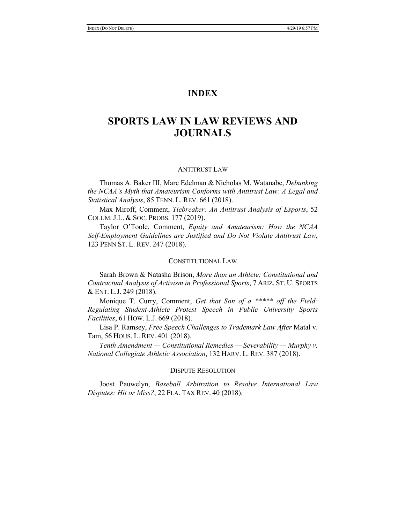### **INDEX**

## **SPORTS LAW IN LAW REVIEWS AND JOURNALS**

#### ANTITRUST LAW

Thomas A. Baker III, Marc Edelman & Nicholas M. Watanabe, *Debunking the NCAA's Myth that Amateurism Conforms with Antitrust Law: A Legal and Statistical Analysis*, 85 TENN. L. REV. 661 (2018).

Max Miroff, Comment, *Tiebreaker: An Antitrust Analysis of Esports*, 52 COLUM. J.L. & SOC. PROBS. 177 (2019).

Taylor O'Toole, Comment, *Equity and Amateurism: How the NCAA Self-Employment Guidelines are Justified and Do Not Violate Antitrust Law*, 123 PENN ST. L. REV. 247 (2018).

#### CONSTITUTIONAL LAW

Sarah Brown & Natasha Brison, *More than an Athlete: Constitutional and Contractual Analysis of Activism in Professional Sports*, 7 ARIZ. ST. U. SPORTS & ENT. L.J. 249 (2018).

Monique T. Curry, Comment, *Get that Son of a \*\*\*\*\* off the Field: Regulating Student-Athlete Protest Speech in Public University Sports Facilities*, 61 HOW. L.J. 669 (2018).

Lisa P. Ramsey, *Free Speech Challenges to Trademark Law After* Matal v. Tam, 56 HOUS. L. REV. 401 (2018).

*Tenth Amendment — Constitutional Remedies — Severability — Murphy v. National Collegiate Athletic Association*, 132 HARV. L. REV. 387 (2018).

#### DISPUTE RESOLUTION

Joost Pauwelyn, *Baseball Arbitration to Resolve International Law Disputes: Hit or Miss?*, 22 FLA. TAX REV. 40 (2018).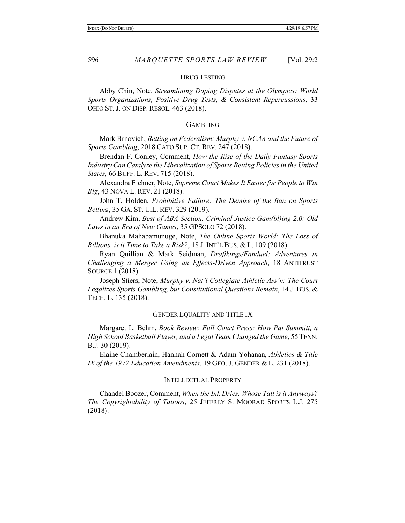#### DRUG TESTING

Abby Chin, Note, *Streamlining Doping Disputes at the Olympics: World Sports Organizations, Positive Drug Tests, & Consistent Repercussions*, 33 OHIO ST. J. ON DISP. RESOL. 463 (2018).

#### GAMBLING

Mark Brnovich, *Betting on Federalism: Murphy v. NCAA and the Future of Sports Gambling*, 2018 CATO SUP. CT. REV. 247 (2018).

Brendan F. Conley, Comment, *How the Rise of the Daily Fantasy Sports Industry Can Catalyze the Liberalization of Sports Betting Policies in the United States*, 66 BUFF. L. REV. 715 (2018).

Alexandra Eichner, Note, *Supreme Court Makes It Easier for People to Win Big*, 43 NOVA L. REV. 21 (2018).

John T. Holden, *Prohibitive Failure: The Demise of the Ban on Sports Betting*, 35 GA. ST. U.L. REV. 329 (2019).

Andrew Kim, *Best of ABA Section, Criminal Justice Gam(bl)ing 2.0: Old Laws in an Era of New Games*, 35 GPSOLO 72 (2018).

Bhanuka Mahabamunuge, Note, *The Online Sports World: The Loss of Billions, is it Time to Take a Risk?*, 18 J. INT'L BUS. & L. 109 (2018).

Ryan Quillian & Mark Seidman, *Draftkings/Fanduel: Adventures in Challenging a Merger Using an Effects-Driven Approach*, 18 ANTITRUST SOURCE 1 (2018).

Joseph Stiers, Note, *Murphy v. Nat'l Collegiate Athletic Ass'n: The Court Legalizes Sports Gambling, but Constitutional Questions Remain*, 14 J. BUS. & TECH. L. 135 (2018).

#### GENDER EQUALITY AND TITLE IX

Margaret L. Behm, *Book Review: Full Court Press: How Pat Summitt, a High School Basketball Player, and a Legal Team Changed the Game*, 55 TENN. B.J. 30 (2019).

Elaine Chamberlain, Hannah Cornett & Adam Yohanan, *Athletics & Title IX of the 1972 Education Amendments*, 19 GEO. J. GENDER & L. 231 (2018).

#### INTELLECTUAL PROPERTY

Chandel Boozer, Comment, *When the Ink Dries, Whose Tatt is it Anyways? The Copyrightability of Tattoos*, 25 JEFFREY S. MOORAD SPORTS L.J. 275 (2018).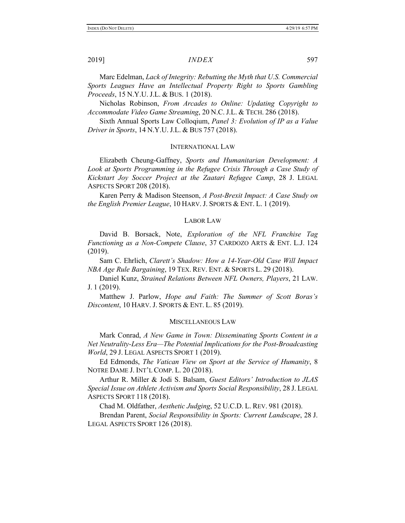Marc Edelman, *Lack of Integrity: Rebutting the Myth that U.S. Commercial Sports Leagues Have an Intellectual Property Right to Sports Gambling Proceeds*, 15 N.Y.U. J.L. & BUS. 1 (2018).

Nicholas Robinson, *From Arcades to Online: Updating Copyright to Accommodate Video Game Streaming*, 20 N.C. J.L. & TECH. 286 (2018).

Sixth Annual Sports Law Colloqium, *Panel 3: Evolution of IP as a Value Driver in Sports*, 14 N.Y.U. J.L. & BUS 757 (2018).

#### INTERNATIONAL LAW

Elizabeth Cheung-Gaffney, *Sports and Humanitarian Development: A*  Look at Sports Programming in the Refugee Crisis Through a Case Study of *Kickstart Joy Soccer Project at the Zaatari Refugee Camp*, 28 J. LEGAL ASPECTS SPORT 208 (2018).

Karen Perry & Madison Steenson, *A Post-Brexit Impact: A Case Study on the English Premier League*, 10 HARV. J. SPORTS & ENT. L. 1 (2019).

#### LABOR LAW

David B. Borsack, Note, *Exploration of the NFL Franchise Tag Functioning as a Non-Compete Clause*, 37 CARDOZO ARTS & ENT. L.J. 124 (2019).

Sam C. Ehrlich, *Clarett's Shadow: How a 14-Year-Old Case Will Impact NBA Age Rule Bargaining*, 19 TEX. REV. ENT. & SPORTS L. 29 (2018).

Daniel Kunz, *Strained Relations Between NFL Owners, Players*, 21 LAW. J. 1 (2019).

Matthew J. Parlow, *Hope and Faith: The Summer of Scott Boras's Discontent*, 10 HARV. J. SPORTS & ENT. L. 85 (2019).

#### MISCELLANEOUS LAW

Mark Conrad, *A New Game in Town: Disseminating Sports Content in a Net Neutrality-Less Era—The Potential Implications for the Post-Broadcasting World*, 29 J. LEGAL ASPECTS SPORT 1 (2019).

Ed Edmonds, *The Vatican View on Sport at the Service of Humanity*, 8 NOTRE DAME J. INT'L COMP. L. 20 (2018).

Arthur R. Miller & Jodi S. Balsam, *Guest Editors' Introduction to JLAS Special Issue on Athlete Activism and Sports Social Responsibility*, 28 J. LEGAL ASPECTS SPORT 118 (2018).

Chad M. Oldfather, *Aesthetic Judging*, 52 U.C.D. L. REV. 981 (2018).

Brendan Parent, *Social Responsibility in Sports: Current Landscape*, 28 J. LEGAL ASPECTS SPORT 126 (2018).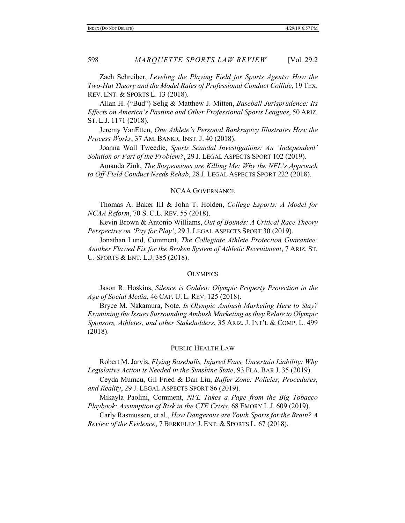Zach Schreiber, *Leveling the Playing Field for Sports Agents: How the Two-Hat Theory and the Model Rules of Professional Conduct Collide*, 19 TEX. REV. ENT. & SPORTS L. 13 (2018).

Allan H. ("Bud") Selig & Matthew J. Mitten, *Baseball Jurisprudence: Its Effects on America's Pastime and Other Professional Sports Leagues*, 50 ARIZ. ST. L.J. 1171 (2018).

Jeremy VanEtten, *One Athlete's Personal Bankruptcy Illustrates How the Process Works*, 37 AM. BANKR. INST. J. 40 (2018).

Joanna Wall Tweedie, *Sports Scandal Investigations: An 'Independent' Solution or Part of the Problem?*, 29 J. LEGAL ASPECTS SPORT 102 (2019).

Amanda Zink, *The Suspensions are Killing Me: Why the NFL's Approach to Off-Field Conduct Needs Rehab*, 28 J. LEGAL ASPECTS SPORT 222 (2018).

#### NCAA GOVERNANCE

Thomas A. Baker III & John T. Holden, *College Esports: A Model for NCAA Reform*, 70 S. C.L. REV. 55 (2018).

Kevin Brown & Antonio Williams, *Out of Bounds: A Critical Race Theory Perspective on 'Pay for Play'*, 29 J. LEGAL ASPECTS SPORT 30 (2019).

Jonathan Lund, Comment, *The Collegiate Athlete Protection Guarantee: Another Flawed Fix for the Broken System of Athletic Recruitment*, 7 ARIZ. ST. U. SPORTS & ENT. L.J. 385 (2018).

#### **OLYMPICS**

Jason R. Hoskins, *Silence is Golden: Olympic Property Protection in the Age of Social Media*, 46 CAP. U. L. REV. 125 (2018).

Bryce M. Nakamura, Note, *Is Olympic Ambush Marketing Here to Stay? Examining the Issues Surrounding Ambush Marketing as they Relate to Olympic Sponsors, Athletes, and other Stakeholders*, 35 ARIZ. J. INT'L & COMP. L. 499 (2018).

#### PUBLIC HEALTH LAW

Robert M. Jarvis, *Flying Baseballs, Injured Fans, Uncertain Liability: Why Legislative Action is Needed in the Sunshine State*, 93 FLA. BAR J. 35 (2019).

Ceyda Mumcu, Gil Fried & Dan Liu, *Buffer Zone: Policies, Procedures, and Reality*, 29 J. LEGAL ASPECTS SPORT 86 (2019).

Mikayla Paolini, Comment, *NFL Takes a Page from the Big Tobacco Playbook: Assumption of Risk in the CTE Crisis*, 68 EMORY L.J. 609 (2019).

Carly Rasmussen, et al., *How Dangerous are Youth Sports for the Brain? A Review of the Evidence*, 7 BERKELEY J. ENT. & SPORTS L. 67 (2018).